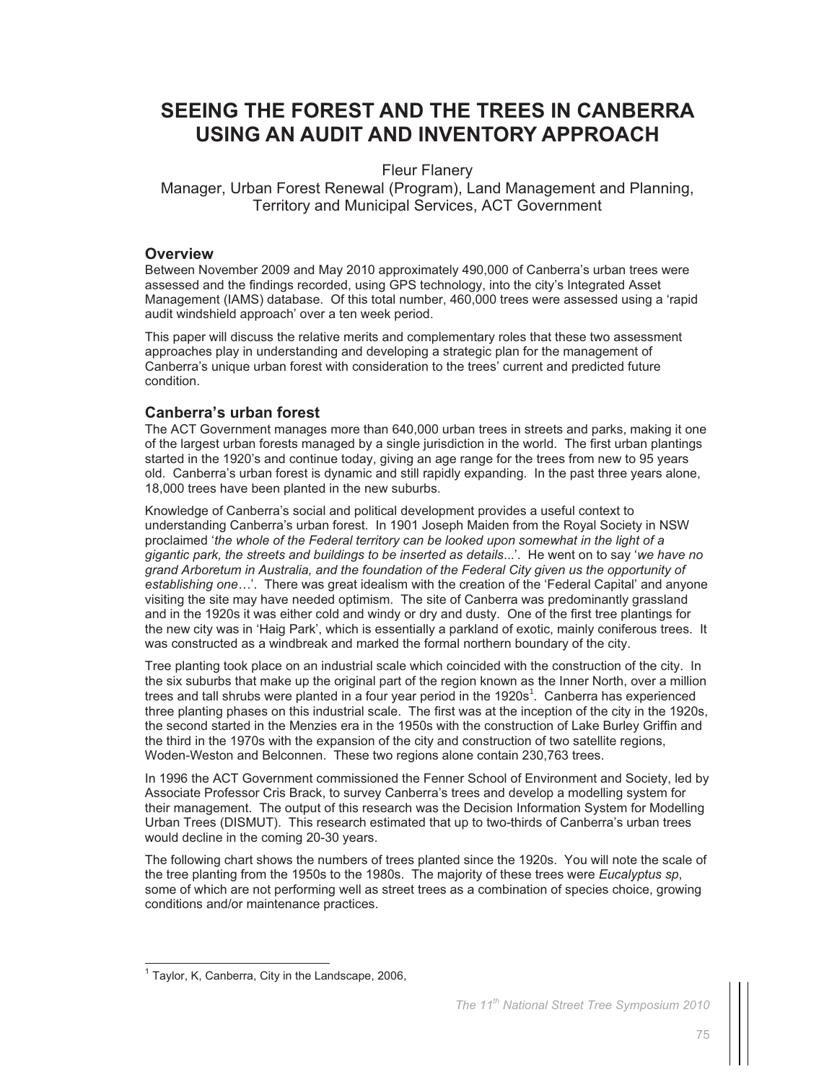# **SEEING THE FOREST AND THE TREES IN CANBERRA USING AN AUDIT AND INVENTORY APPROACH**

## Fleur Flanery

Manager, Urban Forest Renewal (Program), Land Management and Planning, Territory and Municipal Services, ACT Government

#### **Overview**

Between November 2009 and May 2010 approximately 490,000 of Canberra's urban trees were assessed and the findings recorded, using GPS technology, into the city's Integrated Asset Management (IAMS) database. Of this total number, 460,000 trees were assessed using a 'rapid audit windshield approach' over a ten week period.

This paper will discuss the relative merits and complementary roles that these two assessment approaches play in understanding and developing a strategic plan for the management of Canberra's unique urban forest with consideration to the trees' current and predicted future condition.

## **Canberra's urban forest**

The ACT Government manages more than 640,000 urban trees in streets and parks, making it one of the largest urban forests managed by a single jurisdiction in the world. The first urban plantings started in the 1920's and continue today, giving an age range for the trees from new to 95 years old. Canberra's urban forest is dynamic and still rapidly expanding. In the past three years alone, 18,000 trees have been planted in the new suburbs.

Knowledge of Canberra's social and political development provides a useful context to understanding Canberra's urban forest. In 1901 Joseph Maiden from the Royal Society in NSW proclaimed '*the whole of the Federal territory can be looked upon somewhat in the light of a gigantic park, the streets and buildings to be inserted as details*...'. He went on to say '*we have no grand Arboretum in Australia, and the foundation of the Federal City given us the opportunity of establishing one…*'. There was great idealism with the creation of the 'Federal Capital' and anyone visiting the site may have needed optimism. The site of Canberra was predominantly grassland and in the 1920s it was either cold and windy or dry and dusty. One of the first tree plantings for the new city was in 'Haig Park', which is essentially a parkland of exotic, mainly coniferous trees. It was constructed as a windbreak and marked the formal northern boundary of the city.

Tree planting took place on an industrial scale which coincided with the construction of the city. In the six suburbs that make up the original part of the region known as the Inner North, over a million trees and tall shrubs were planted in a four year period in the  $1920s<sup>1</sup>$ . Canberra has experienced three planting phases on this industrial scale. The first was at the inception of the city in the 1920s, the second started in the Menzies era in the 1950s with the construction of Lake Burley Griffin and the third in the 1970s with the expansion of the city and construction of two satellite regions, Woden-Weston and Belconnen. These two regions alone contain 230,763 trees.

In 1996 the ACT Government commissioned the Fenner School of Environment and Society, led by Associate Professor Cris Brack, to survey Canberra's trees and develop a modelling system for their management. The output of this research was the Decision Information System for Modelling Urban Trees (DISMUT). This research estimated that up to two-thirds of Canberra's urban trees would decline in the coming 20-30 years.

The following chart shows the numbers of trees planted since the 1920s. You will note the scale of the tree planting from the 1950s to the 1980s. The majority of these trees were *Eucalyptus sp*, some of which are not performing well as street trees as a combination of species choice, growing conditions and/or maintenance practices.

 $\overline{a}$ 

<sup>&</sup>lt;sup>1</sup> Taylor, K, Canberra, City in the Landscape, 2006,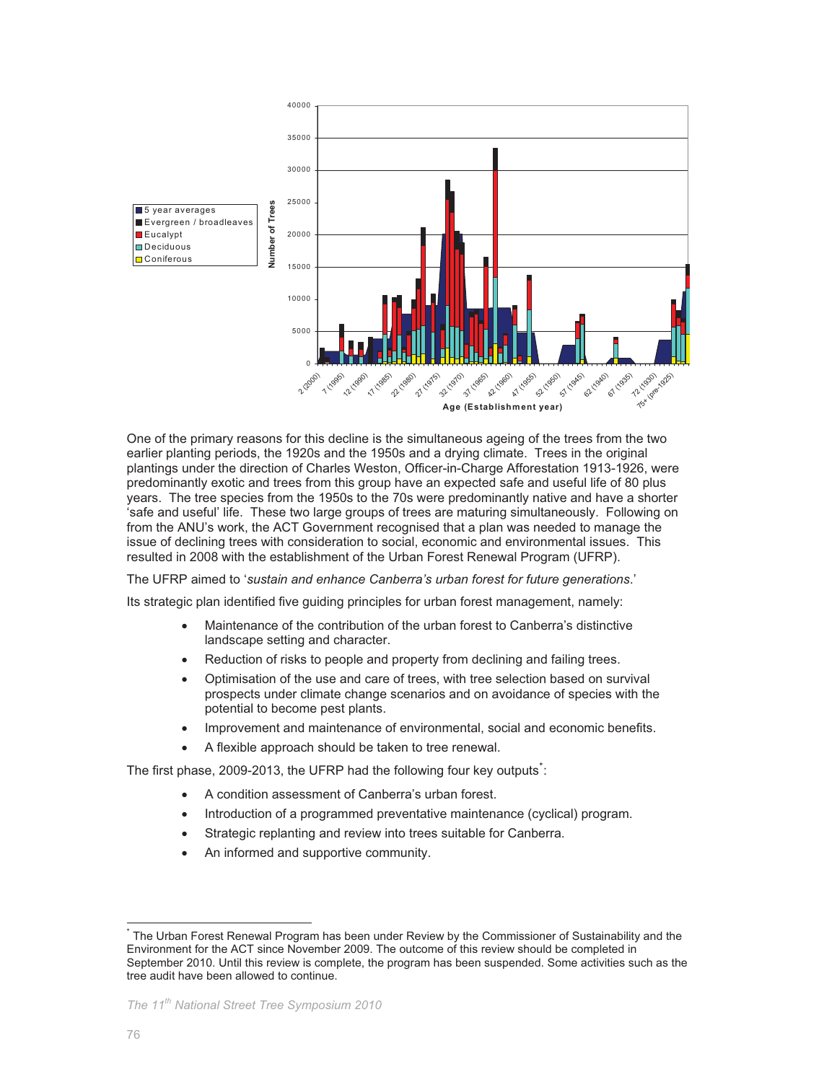

One of the primary reasons for this decline is the simultaneous ageing of the trees from the two earlier planting periods, the 1920s and the 1950s and a drying climate. Trees in the original plantings under the direction of Charles Weston, Officer-in-Charge Afforestation 1913-1926, were predominantly exotic and trees from this group have an expected safe and useful life of 80 plus years. The tree species from the 1950s to the 70s were predominantly native and have a shorter 'safe and useful' life. These two large groups of trees are maturing simultaneously. Following on from the ANU's work, the ACT Government recognised that a plan was needed to manage the issue of declining trees with consideration to social, economic and environmental issues. This resulted in 2008 with the establishment of the Urban Forest Renewal Program (UFRP).

The UFRP aimed to '*sustain and enhance Canberra's urban forest for future generations*.'

Its strategic plan identified five guiding principles for urban forest management, namely:

- Maintenance of the contribution of the urban forest to Canberra's distinctive landscape setting and character.
- Reduction of risks to people and property from declining and failing trees.
- Optimisation of the use and care of trees, with tree selection based on survival prospects under climate change scenarios and on avoidance of species with the potential to become pest plants.
- Improvement and maintenance of environmental, social and economic benefits.
- A flexible approach should be taken to tree renewal.

The first phase, 2009-2013, the UFRP had the following four key outputs<sup>\*</sup>:

- A condition assessment of Canberra's urban forest.
- Introduction of a programmed preventative maintenance (cyclical) program.
- Strategic replanting and review into trees suitable for Canberra.
- An informed and supportive community.

 $\overline{a}$ 

<sup>\*</sup> The Urban Forest Renewal Program has been under Review by the Commissioner of Sustainability and the Environment for the ACT since November 2009. The outcome of this review should be completed in September 2010. Until this review is complete, the program has been suspended. Some activities such as the tree audit have been allowed to continue.

*The 11th National Street Tree Symposium 2010*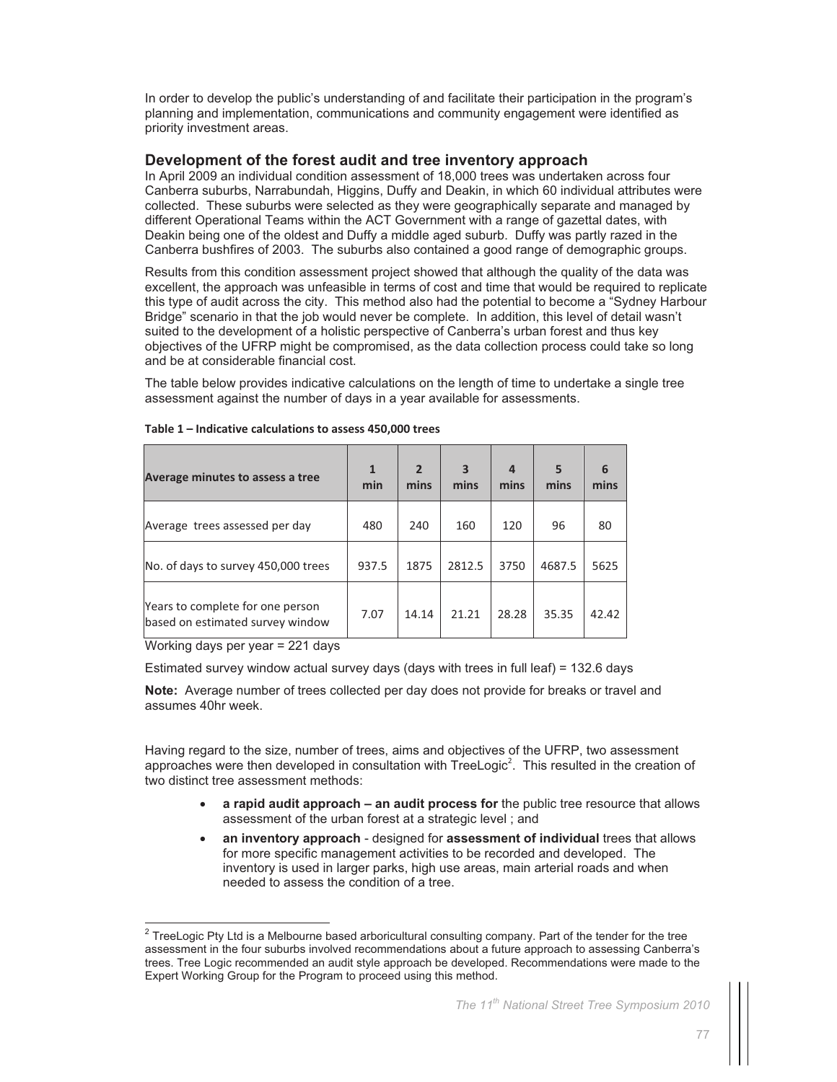In order to develop the public's understanding of and facilitate their participation in the program's planning and implementation, communications and community engagement were identified as priority investment areas.

## **Development of the forest audit and tree inventory approach**

In April 2009 an individual condition assessment of 18,000 trees was undertaken across four Canberra suburbs, Narrabundah, Higgins, Duffy and Deakin, in which 60 individual attributes were collected. These suburbs were selected as they were geographically separate and managed by different Operational Teams within the ACT Government with a range of gazettal dates, with Deakin being one of the oldest and Duffy a middle aged suburb. Duffy was partly razed in the Canberra bushfires of 2003. The suburbs also contained a good range of demographic groups.

Results from this condition assessment project showed that although the quality of the data was excellent, the approach was unfeasible in terms of cost and time that would be required to replicate this type of audit across the city. This method also had the potential to become a "Sydney Harbour Bridge" scenario in that the job would never be complete. In addition, this level of detail wasn't suited to the development of a holistic perspective of Canberra's urban forest and thus key objectives of the UFRP might be compromised, as the data collection process could take so long and be at considerable financial cost.

The table below provides indicative calculations on the length of time to undertake a single tree assessment against the number of days in a year available for assessments.

| Average minutes to assess a tree                                     | 1<br>min | $\overline{2}$<br>mins | 3<br>mins | $\overline{a}$<br>mins | 5<br>mins | 6<br>mins |
|----------------------------------------------------------------------|----------|------------------------|-----------|------------------------|-----------|-----------|
| Average trees assessed per day                                       | 480      | 240                    | 160       | 120                    | 96        | 80        |
| No. of days to survey 450,000 trees                                  | 937.5    | 1875                   | 2812.5    | 3750                   | 4687.5    | 5625      |
| Years to complete for one person<br>based on estimated survey window | 7.07     | 14.14                  | 21.21     | 28.28                  | 35.35     | 42.42     |

#### **Table 1 – Indicative calculations to assess 450,000 trees**

Working days per year = 221 days

 $\overline{a}$ 

Estimated survey window actual survey days (days with trees in full leaf) = 132.6 days

**Note:** Average number of trees collected per day does not provide for breaks or travel and assumes 40hr week.

Having regard to the size, number of trees, aims and objectives of the UFRP, two assessment approaches were then developed in consultation with  $TreeLogic<sup>2</sup>$ . This resulted in the creation of two distinct tree assessment methods:

- **a rapid audit approach an audit process for** the public tree resource that allows assessment of the urban forest at a strategic level ; and
- **an inventory approach** designed for **assessment of individual** trees that allows for more specific management activities to be recorded and developed. The inventory is used in larger parks, high use areas, main arterial roads and when needed to assess the condition of a tree.

 $^2$  TreeLogic Pty Ltd is a Melbourne based arboricultural consulting company. Part of the tender for the tree assessment in the four suburbs involved recommendations about a future approach to assessing Canberra's trees. Tree Logic recommended an audit style approach be developed. Recommendations were made to the Expert Working Group for the Program to proceed using this method.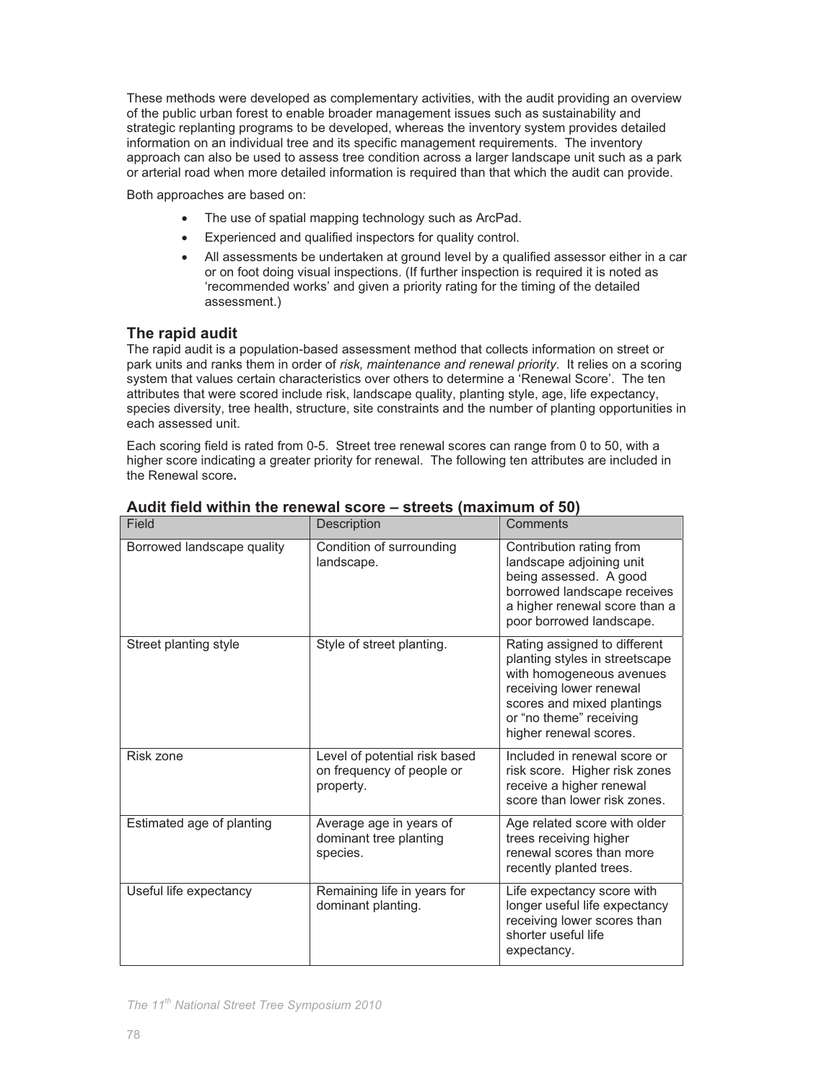These methods were developed as complementary activities, with the audit providing an overview of the public urban forest to enable broader management issues such as sustainability and strategic replanting programs to be developed, whereas the inventory system provides detailed information on an individual tree and its specific management requirements. The inventory approach can also be used to assess tree condition across a larger landscape unit such as a park or arterial road when more detailed information is required than that which the audit can provide.

Both approaches are based on:

- The use of spatial mapping technology such as ArcPad.
- Experienced and qualified inspectors for quality control.
- All assessments be undertaken at ground level by a qualified assessor either in a car or on foot doing visual inspections. (If further inspection is required it is noted as 'recommended works' and given a priority rating for the timing of the detailed assessment.)

## **The rapid audit**

The rapid audit is a population-based assessment method that collects information on street or park units and ranks them in order of *risk, maintenance and renewal priority*. It relies on a scoring system that values certain characteristics over others to determine a 'Renewal Score'. The ten attributes that were scored include risk, landscape quality, planting style, age, life expectancy, species diversity, tree health, structure, site constraints and the number of planting opportunities in each assessed unit.

Each scoring field is rated from 0-5. Street tree renewal scores can range from 0 to 50, with a higher score indicating a greater priority for renewal. The following ten attributes are included in the Renewal score**.**

| Field                      | Description                                                             | Comments                                                                                                                                                                                                 |
|----------------------------|-------------------------------------------------------------------------|----------------------------------------------------------------------------------------------------------------------------------------------------------------------------------------------------------|
| Borrowed landscape quality | Condition of surrounding<br>landscape.                                  | Contribution rating from<br>landscape adjoining unit<br>being assessed. A good<br>borrowed landscape receives<br>a higher renewal score than a<br>poor borrowed landscape.                               |
| Street planting style      | Style of street planting.                                               | Rating assigned to different<br>planting styles in streetscape<br>with homogeneous avenues<br>receiving lower renewal<br>scores and mixed plantings<br>or "no theme" receiving<br>higher renewal scores. |
| Risk zone                  | Level of potential risk based<br>on frequency of people or<br>property. | Included in renewal score or<br>risk score. Higher risk zones<br>receive a higher renewal<br>score than lower risk zones.                                                                                |
| Estimated age of planting  | Average age in years of<br>dominant tree planting<br>species.           | Age related score with older<br>trees receiving higher<br>renewal scores than more<br>recently planted trees.                                                                                            |
| Useful life expectancy     | Remaining life in years for<br>dominant planting.                       | Life expectancy score with<br>longer useful life expectancy<br>receiving lower scores than<br>shorter useful life<br>expectancy.                                                                         |

## **Audit field within the renewal score – streets (maximum of 50)**

*The 11th National Street Tree Symposium 2010*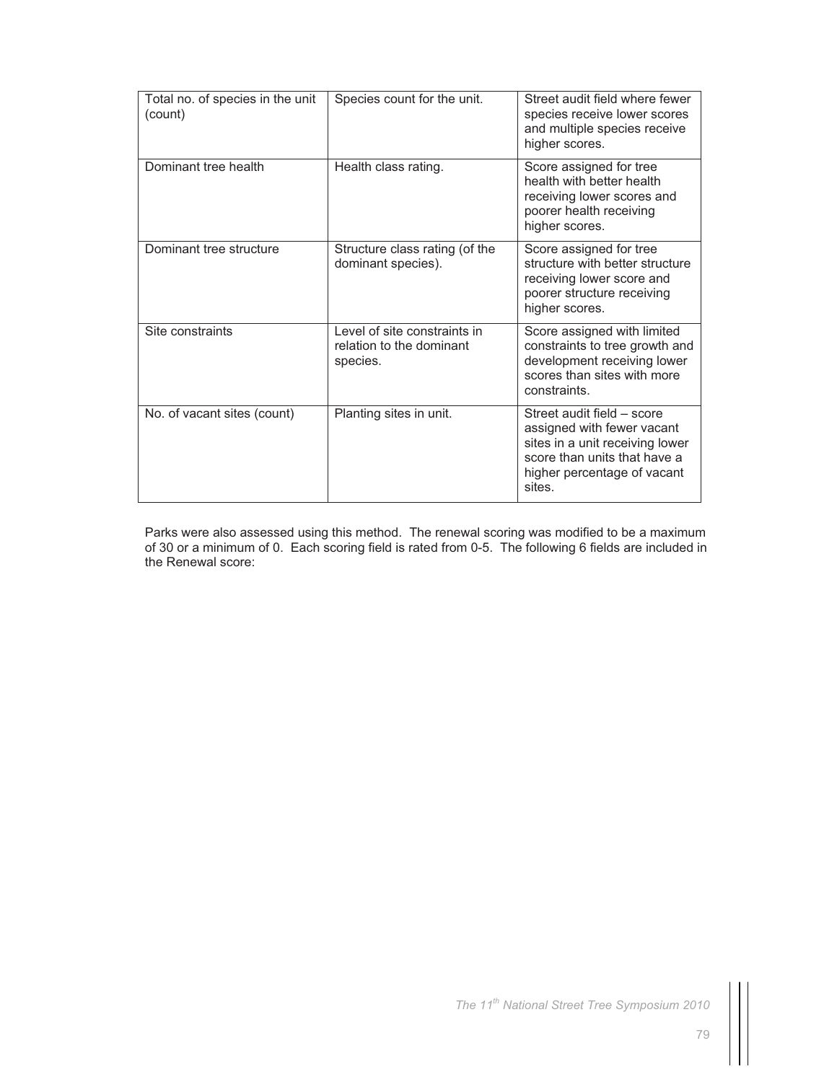| Total no. of species in the unit<br>(count) | Species count for the unit.                                          | Street audit field where fewer<br>species receive lower scores<br>and multiple species receive<br>higher scores.                                                     |
|---------------------------------------------|----------------------------------------------------------------------|----------------------------------------------------------------------------------------------------------------------------------------------------------------------|
| Dominant tree health                        | Health class rating.                                                 | Score assigned for tree<br>health with better health<br>receiving lower scores and<br>poorer health receiving<br>higher scores.                                      |
| Dominant tree structure                     | Structure class rating (of the<br>dominant species).                 | Score assigned for tree<br>structure with better structure<br>receiving lower score and<br>poorer structure receiving<br>higher scores.                              |
| Site constraints                            | Level of site constraints in<br>relation to the dominant<br>species. | Score assigned with limited<br>constraints to tree growth and<br>development receiving lower<br>scores than sites with more<br>constraints.                          |
| No. of vacant sites (count)                 | Planting sites in unit.                                              | Street audit field - score<br>assigned with fewer vacant<br>sites in a unit receiving lower<br>score than units that have a<br>higher percentage of vacant<br>sites. |

Parks were also assessed using this method. The renewal scoring was modified to be a maximum of 30 or a minimum of 0. Each scoring field is rated from 0-5. The following 6 fields are included in the Renewal score: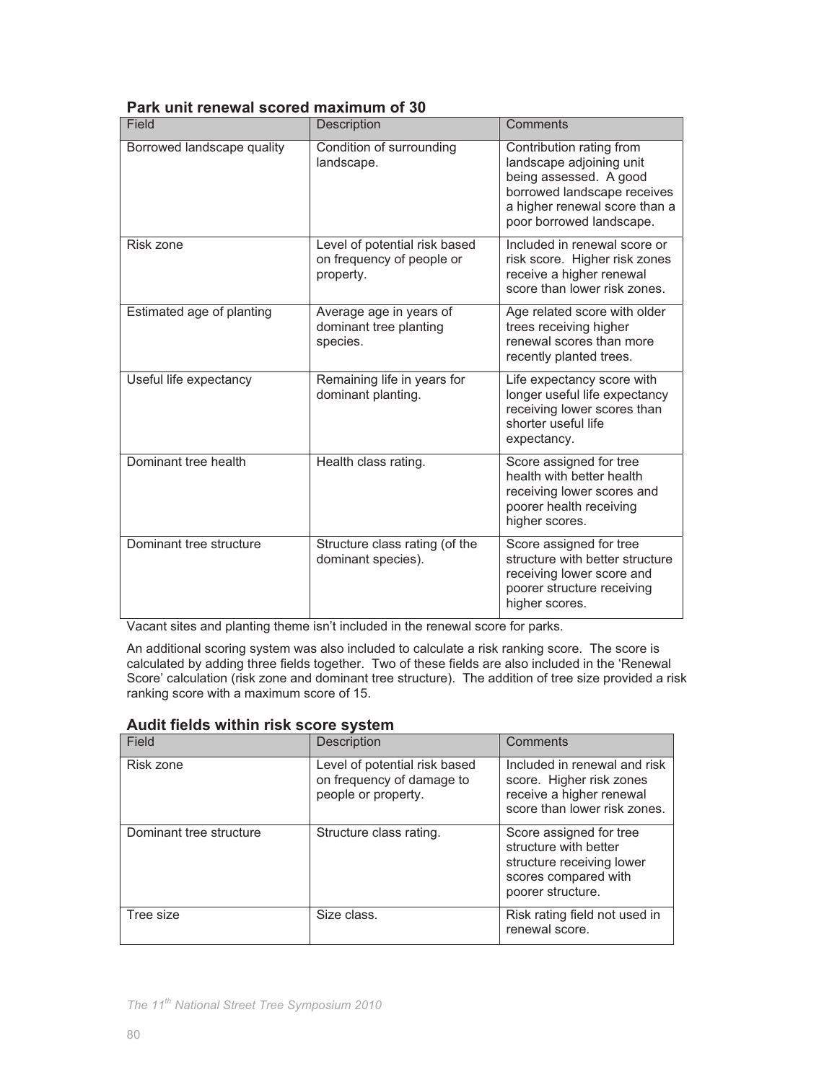| Field                      | Description                                                             | Comments                                                                                                                                                                   |
|----------------------------|-------------------------------------------------------------------------|----------------------------------------------------------------------------------------------------------------------------------------------------------------------------|
| Borrowed landscape quality | Condition of surrounding<br>landscape.                                  | Contribution rating from<br>landscape adjoining unit<br>being assessed. A good<br>borrowed landscape receives<br>a higher renewal score than a<br>poor borrowed landscape. |
| Risk zone                  | Level of potential risk based<br>on frequency of people or<br>property. | Included in renewal score or<br>risk score. Higher risk zones<br>receive a higher renewal<br>score than lower risk zones.                                                  |
| Estimated age of planting  | Average age in years of<br>dominant tree planting<br>species.           | Age related score with older<br>trees receiving higher<br>renewal scores than more<br>recently planted trees.                                                              |
| Useful life expectancy     | Remaining life in years for<br>dominant planting.                       | Life expectancy score with<br>longer useful life expectancy<br>receiving lower scores than<br>shorter useful life<br>expectancy.                                           |
| Dominant tree health       | Health class rating.                                                    | Score assigned for tree<br>health with better health<br>receiving lower scores and<br>poorer health receiving<br>higher scores.                                            |
| Dominant tree structure    | Structure class rating (of the<br>dominant species).                    | Score assigned for tree<br>structure with better structure<br>receiving lower score and<br>poorer structure receiving<br>higher scores.                                    |

## **Park unit renewal scored maximum of 30**

Vacant sites and planting theme isn't included in the renewal score for parks.

An additional scoring system was also included to calculate a risk ranking score. The score is calculated by adding three fields together. Two of these fields are also included in the 'Renewal Score' calculation (risk zone and dominant tree structure). The addition of tree size provided a risk ranking score with a maximum score of 15.

| Field                   | Description                                                                       | Comments                                                                                                                   |
|-------------------------|-----------------------------------------------------------------------------------|----------------------------------------------------------------------------------------------------------------------------|
| Risk zone               | Level of potential risk based<br>on frequency of damage to<br>people or property. | Included in renewal and risk<br>score. Higher risk zones<br>receive a higher renewal<br>score than lower risk zones.       |
| Dominant tree structure | Structure class rating.                                                           | Score assigned for tree<br>structure with better<br>structure receiving lower<br>scores compared with<br>poorer structure. |
| Tree size               | Size class.                                                                       | Risk rating field not used in<br>renewal score.                                                                            |

## **Audit fields within risk score system**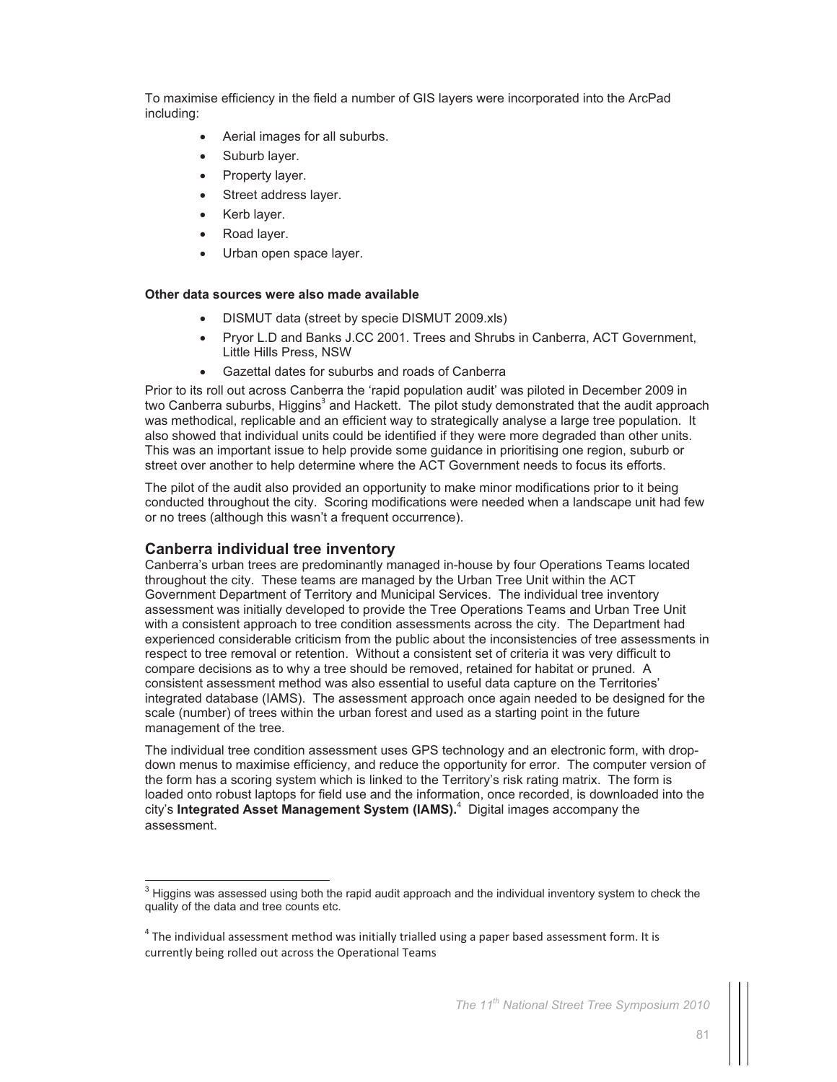To maximise efficiency in the field a number of GIS layers were incorporated into the ArcPad including:

- Aerial images for all suburbs.
- Suburb layer.
- Property layer.
- Street address layer.
- Kerb layer.
- Road layer.
- Urban open space layer.

#### **Other data sources were also made available**

- DISMUT data (street by specie DISMUT 2009.xls)
- Pryor L.D and Banks J.CC 2001. Trees and Shrubs in Canberra, ACT Government, Little Hills Press, NSW
- Gazettal dates for suburbs and roads of Canberra

Prior to its roll out across Canberra the 'rapid population audit' was piloted in December 2009 in two Canberra suburbs, Higgins<sup>3</sup> and Hackett. The pilot study demonstrated that the audit approach was methodical, replicable and an efficient way to strategically analyse a large tree population. It also showed that individual units could be identified if they were more degraded than other units. This was an important issue to help provide some guidance in prioritising one region, suburb or street over another to help determine where the ACT Government needs to focus its efforts.

The pilot of the audit also provided an opportunity to make minor modifications prior to it being conducted throughout the city. Scoring modifications were needed when a landscape unit had few or no trees (although this wasn't a frequent occurrence).

## **Canberra individual tree inventory**

 $\overline{a}$ 

Canberra's urban trees are predominantly managed in-house by four Operations Teams located throughout the city. These teams are managed by the Urban Tree Unit within the ACT Government Department of Territory and Municipal Services. The individual tree inventory assessment was initially developed to provide the Tree Operations Teams and Urban Tree Unit with a consistent approach to tree condition assessments across the city. The Department had experienced considerable criticism from the public about the inconsistencies of tree assessments in respect to tree removal or retention. Without a consistent set of criteria it was very difficult to compare decisions as to why a tree should be removed, retained for habitat or pruned. A consistent assessment method was also essential to useful data capture on the Territories' integrated database (IAMS). The assessment approach once again needed to be designed for the scale (number) of trees within the urban forest and used as a starting point in the future management of the tree.

The individual tree condition assessment uses GPS technology and an electronic form, with dropdown menus to maximise efficiency, and reduce the opportunity for error. The computer version of the form has a scoring system which is linked to the Territory's risk rating matrix. The form is loaded onto robust laptops for field use and the information, once recorded, is downloaded into the city's **Integrated Asset Management System (IAMS).**<sup>4</sup> Digital images accompany the assessment.

 $^3$  Higgins was assessed using both the rapid audit approach and the individual inventory system to check the quality of the data and tree counts etc.

 $^{4}$  The individual assessment method was initially trialled using a paper based assessment form. It is currently being rolled out across the Operational Teams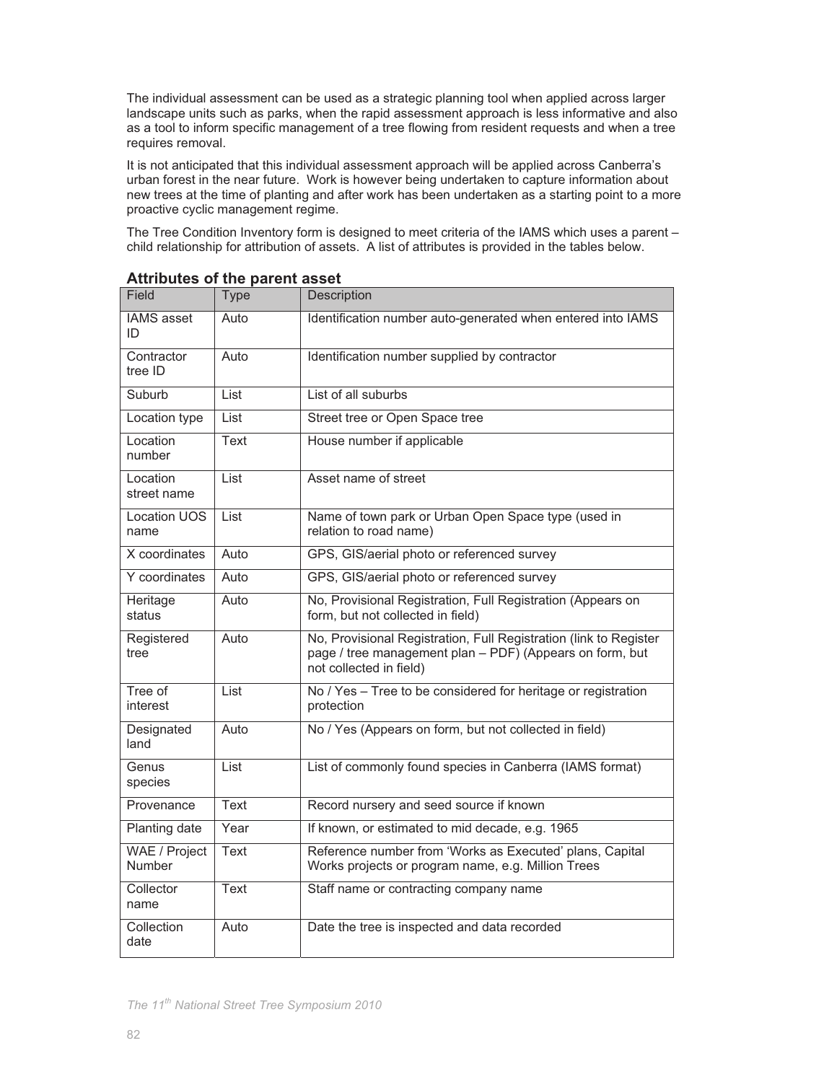The individual assessment can be used as a strategic planning tool when applied across larger landscape units such as parks, when the rapid assessment approach is less informative and also as a tool to inform specific management of a tree flowing from resident requests and when a tree requires removal.

It is not anticipated that this individual assessment approach will be applied across Canberra's urban forest in the near future. Work is however being undertaken to capture information about new trees at the time of planting and after work has been undertaken as a starting point to a more proactive cyclic management regime.

The Tree Condition Inventory form is designed to meet criteria of the IAMS which uses a parent – child relationship for attribution of assets. A list of attributes is provided in the tables below.

| Field                       | <b>Type</b> | <b>Description</b>                                                                                                                                       |
|-----------------------------|-------------|----------------------------------------------------------------------------------------------------------------------------------------------------------|
| <b>IAMS</b> asset<br>ID     | Auto        | Identification number auto-generated when entered into IAMS                                                                                              |
| Contractor<br>tree ID       | Auto        | Identification number supplied by contractor                                                                                                             |
| Suburb                      | List        | List of all suburbs                                                                                                                                      |
| Location type               | List        | Street tree or Open Space tree                                                                                                                           |
| Location<br>number          | Text        | House number if applicable                                                                                                                               |
| Location<br>street name     | List        | Asset name of street                                                                                                                                     |
| <b>Location UOS</b><br>name | List        | Name of town park or Urban Open Space type (used in<br>relation to road name)                                                                            |
| X coordinates               | Auto        | GPS, GIS/aerial photo or referenced survey                                                                                                               |
| Y coordinates               | Auto        | GPS, GIS/aerial photo or referenced survey                                                                                                               |
| Heritage<br>status          | Auto        | No, Provisional Registration, Full Registration (Appears on<br>form, but not collected in field)                                                         |
| Registered<br>tree          | Auto        | No, Provisional Registration, Full Registration (link to Register<br>page / tree management plan - PDF) (Appears on form, but<br>not collected in field) |
| Tree of<br>interest         | List        | No / Yes - Tree to be considered for heritage or registration<br>protection                                                                              |
| Designated<br>land          | Auto        | No / Yes (Appears on form, but not collected in field)                                                                                                   |
| Genus<br>species            | List        | List of commonly found species in Canberra (IAMS format)                                                                                                 |
| Provenance                  | <b>Text</b> | Record nursery and seed source if known                                                                                                                  |
| Planting date               | Year        | If known, or estimated to mid decade, e.g. 1965                                                                                                          |
| WAE / Project<br>Number     | <b>Text</b> | Reference number from 'Works as Executed' plans, Capital<br>Works projects or program name, e.g. Million Trees                                           |
| Collector<br>name           | <b>Text</b> | Staff name or contracting company name                                                                                                                   |
| Collection<br>date          | Auto        | Date the tree is inspected and data recorded                                                                                                             |

**Attributes of the parent asset** 

*The 11th National Street Tree Symposium 2010*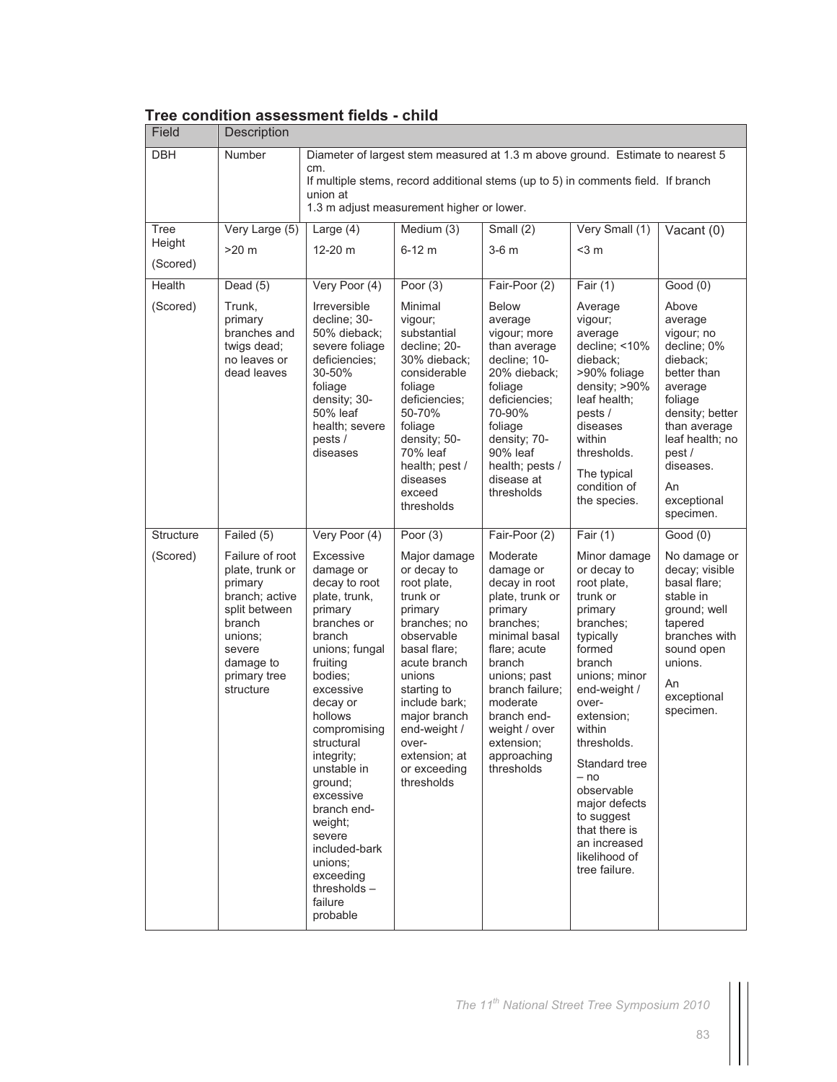| Field                      | Description                                                                                                                                                             |                                                                                                                                                                                                                                                                                                                                                                                                     |                                                                                                                                                                                                                                                                                 |                                                                                                                                                                                                                                                                         |                                                                                                                                                                                                                                                                                                                                                           |                                                                                                                                                                                                                         |
|----------------------------|-------------------------------------------------------------------------------------------------------------------------------------------------------------------------|-----------------------------------------------------------------------------------------------------------------------------------------------------------------------------------------------------------------------------------------------------------------------------------------------------------------------------------------------------------------------------------------------------|---------------------------------------------------------------------------------------------------------------------------------------------------------------------------------------------------------------------------------------------------------------------------------|-------------------------------------------------------------------------------------------------------------------------------------------------------------------------------------------------------------------------------------------------------------------------|-----------------------------------------------------------------------------------------------------------------------------------------------------------------------------------------------------------------------------------------------------------------------------------------------------------------------------------------------------------|-------------------------------------------------------------------------------------------------------------------------------------------------------------------------------------------------------------------------|
| <b>DBH</b>                 | Number                                                                                                                                                                  | cm.<br>union at                                                                                                                                                                                                                                                                                                                                                                                     | Diameter of largest stem measured at 1.3 m above ground. Estimate to nearest 5<br>If multiple stems, record additional stems (up to 5) in comments field. If branch<br>1.3 m adjust measurement higher or lower.                                                                |                                                                                                                                                                                                                                                                         |                                                                                                                                                                                                                                                                                                                                                           |                                                                                                                                                                                                                         |
| Tree<br>Height<br>(Scored) | Very Large (5)<br>$>20$ m                                                                                                                                               | Large $(4)$<br>12-20 m                                                                                                                                                                                                                                                                                                                                                                              | Medium (3)<br>$6-12$ m                                                                                                                                                                                                                                                          | Small (2)<br>$3-6$ m                                                                                                                                                                                                                                                    | Very Small (1)<br>$<$ 3 m                                                                                                                                                                                                                                                                                                                                 | Vacant $(0)$                                                                                                                                                                                                            |
| Health<br>(Scored)         | Dead $(5)$<br>Trunk,<br>primary<br>branches and<br>twigs dead;<br>no leaves or<br>dead leaves                                                                           | Very Poor (4)<br><b>Irreversible</b><br>decline; 30-<br>50% dieback;<br>severe foliage<br>deficiencies;<br>30-50%<br>foliage<br>density; 30-<br>50% leaf<br>health; severe<br>pests /<br>diseases                                                                                                                                                                                                   | Poor $(3)$<br>Minimal<br>vigour;<br>substantial<br>decline; 20-<br>30% dieback;<br>considerable<br>foliage<br>deficiencies;<br>50-70%<br>foliage<br>density; 50-<br>70% leaf<br>health; pest /<br>diseases<br>exceed<br>thresholds                                              | Fair-Poor (2)<br><b>Below</b><br>average<br>vigour; more<br>than average<br>decline; 10-<br>20% dieback;<br>foliage<br>deficiencies;<br>70-90%<br>foliage<br>density; 70-<br>90% leaf<br>health; pests /<br>disease at<br>thresholds                                    | Fair $(1)$<br>Average<br>vigour;<br>average<br>decline; <10%<br>dieback;<br>>90% foliage<br>density; >90%<br>leaf health;<br>pests /<br>diseases<br>within<br>thresholds.<br>The typical<br>condition of<br>the species.                                                                                                                                  | Good(0)<br>Above<br>average<br>vigour; no<br>decline; 0%<br>dieback;<br>better than<br>average<br>foliage<br>density; better<br>than average<br>leaf health: no<br>pest/<br>diseases.<br>An<br>exceptional<br>specimen. |
| Structure<br>(Scored)      | Failed (5)<br>Failure of root<br>plate, trunk or<br>primary<br>branch; active<br>split between<br>branch<br>unions:<br>severe<br>damage to<br>primary tree<br>structure | Very Poor (4)<br>Excessive<br>damage or<br>decay to root<br>plate, trunk,<br>primary<br>branches or<br>branch<br>unions; fungal<br>fruiting<br>bodies:<br>excessive<br>decay or<br>hollows<br>compromising<br>structural<br>integrity;<br>unstable in<br>ground:<br>excessive<br>branch end-<br>weight;<br>severe<br>included-bark<br>unions:<br>exceeding<br>thresholds $-$<br>failure<br>probable | Poor $(3)$<br>Major damage<br>or decay to<br>root plate,<br>trunk or<br>primary<br>branches; no<br>observable<br>basal flare;<br>acute branch<br>unions<br>starting to<br>include bark;<br>major branch<br>end-weight /<br>over-<br>extension; at<br>or exceeding<br>thresholds | Fair-Poor (2)<br>Moderate<br>damage or<br>decay in root<br>plate, trunk or<br>primary<br>branches;<br>minimal basal<br>flare; acute<br>branch<br>unions; past<br>branch failure:<br>moderate<br>branch end-<br>weight / over<br>extension;<br>approaching<br>thresholds | Fair $(1)$<br>Minor damage<br>or decay to<br>root plate,<br>trunk or<br>primary<br>branches;<br>typically<br>formed<br>branch<br>unions; minor<br>end-weight /<br>over-<br>extension;<br>within<br>thresholds.<br>Standard tree<br>$- no$<br>observable<br>major defects<br>to suggest<br>that there is<br>an increased<br>likelihood of<br>tree failure. | Good(0)<br>No damage or<br>decay; visible<br>basal flare;<br>stable in<br>ground; well<br>tapered<br>branches with<br>sound open<br>unions.<br>An<br>exceptional<br>specimen.                                           |

## **Tree condition assessment fields - child**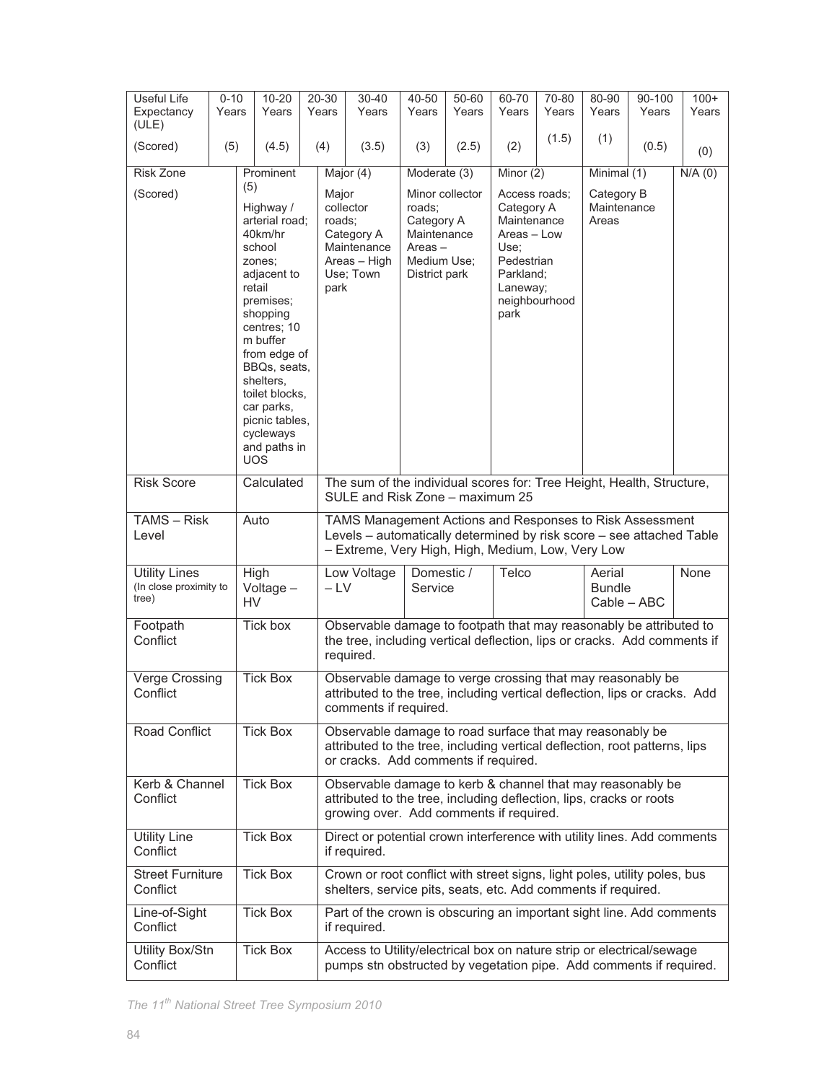| Useful Life<br>Expectancy<br>(ULE)                      | $0 - 10$<br>Years |           | $10 - 20$<br>Years                                                                                                                                                                                                   |                                                                                                                                                                                | 20-30<br>Years          | 30-40<br>Years                                                                                                                                                                        | 40-50<br>Years                                                                   | 50-60<br>Years  | 60-70<br>Years                                                                                                   | 70-80<br>Years | 80-90<br>Years                         | 90-100<br>Years | $100+$<br>Years |
|---------------------------------------------------------|-------------------|-----------|----------------------------------------------------------------------------------------------------------------------------------------------------------------------------------------------------------------------|--------------------------------------------------------------------------------------------------------------------------------------------------------------------------------|-------------------------|---------------------------------------------------------------------------------------------------------------------------------------------------------------------------------------|----------------------------------------------------------------------------------|-----------------|------------------------------------------------------------------------------------------------------------------|----------------|----------------------------------------|-----------------|-----------------|
| (Scored)                                                | (5)               |           | (4.5)                                                                                                                                                                                                                |                                                                                                                                                                                | (4)                     | (3.5)                                                                                                                                                                                 | (3)                                                                              | (2.5)           | (2)                                                                                                              | (1.5)          | (1)                                    | (0.5)           | (0)             |
| Risk Zone                                               |                   |           | Prominent                                                                                                                                                                                                            |                                                                                                                                                                                |                         | Major $(4)$                                                                                                                                                                           | Moderate (3)                                                                     |                 | Minor (2)                                                                                                        |                | Minimal (1)                            |                 | $N/A$ (0)       |
|                                                         |                   | (5)       |                                                                                                                                                                                                                      |                                                                                                                                                                                |                         |                                                                                                                                                                                       |                                                                                  |                 |                                                                                                                  |                |                                        |                 |                 |
| (Scored)                                                |                   |           | Highway /<br>arterial road;<br>40km/hr<br>school<br>zones;<br>adjacent to<br>retail<br>premises;<br>shopping<br>centres; 10<br>m buffer<br>from edge of<br>BBQs, seats,<br>shelters,<br>toilet blocks,<br>car parks, |                                                                                                                                                                                | Major<br>roads;<br>park | collector<br>Category A<br>Maintenance<br>Areas - High<br>Use; Town                                                                                                                   | roads;<br>Category A<br>Maintenance<br>$Areas -$<br>Medium Use;<br>District park | Minor collector | Access roads;<br>Category A<br>Maintenance<br>Areas - Low<br>Use;<br>Pedestrian<br>Parkland:<br>Laneway;<br>park | neighbourhood  | Category B<br>Maintenance<br>Areas     |                 |                 |
|                                                         |                   |           | picnic tables.<br>cycleways<br>and paths in<br><b>UOS</b>                                                                                                                                                            |                                                                                                                                                                                |                         |                                                                                                                                                                                       |                                                                                  |                 |                                                                                                                  |                |                                        |                 |                 |
| <b>Risk Score</b>                                       |                   |           | Calculated                                                                                                                                                                                                           | The sum of the individual scores for: Tree Height, Health, Structure,<br>SULE and Risk Zone - maximum 25                                                                       |                         |                                                                                                                                                                                       |                                                                                  |                 |                                                                                                                  |                |                                        |                 |                 |
| $TAMS - Risk$<br>Level                                  |                   |           | Auto                                                                                                                                                                                                                 |                                                                                                                                                                                |                         | TAMS Management Actions and Responses to Risk Assessment<br>Levels - automatically determined by risk score - see attached Table<br>- Extreme, Very High, High, Medium, Low, Very Low |                                                                                  |                 |                                                                                                                  |                |                                        |                 |                 |
| <b>Utility Lines</b><br>(In close proximity to<br>tree) |                   | <b>HV</b> | High<br>Voltage-                                                                                                                                                                                                     |                                                                                                                                                                                | $-LV$                   | Low Voltage                                                                                                                                                                           | Domestic /<br>Service                                                            |                 | Telco                                                                                                            |                | Aerial<br><b>Bundle</b><br>Cable - ABC |                 | None            |
| Footpath<br>Conflict                                    |                   |           | Tick box                                                                                                                                                                                                             |                                                                                                                                                                                |                         | Observable damage to footpath that may reasonably be attributed to<br>the tree, including vertical deflection, lips or cracks. Add comments if<br>required.                           |                                                                                  |                 |                                                                                                                  |                |                                        |                 |                 |
| Verge Crossing<br>Conflict                              |                   |           | <b>Tick Box</b>                                                                                                                                                                                                      |                                                                                                                                                                                |                         | Observable damage to verge crossing that may reasonably be<br>attributed to the tree, including vertical deflection, lips or cracks. Add<br>comments if required.                     |                                                                                  |                 |                                                                                                                  |                |                                        |                 |                 |
| Road Conflict                                           |                   |           | <b>Tick Box</b>                                                                                                                                                                                                      | Observable damage to road surface that may reasonably be<br>attributed to the tree, including vertical deflection, root patterns, lips<br>or cracks. Add comments if required. |                         |                                                                                                                                                                                       |                                                                                  |                 |                                                                                                                  |                |                                        |                 |                 |
| Kerb & Channel<br>Conflict                              |                   |           | <b>Tick Box</b>                                                                                                                                                                                                      |                                                                                                                                                                                |                         | Observable damage to kerb & channel that may reasonably be<br>attributed to the tree, including deflection, lips, cracks or roots<br>growing over. Add comments if required.          |                                                                                  |                 |                                                                                                                  |                |                                        |                 |                 |
| <b>Utility Line</b><br>Conflict                         |                   |           | <b>Tick Box</b>                                                                                                                                                                                                      |                                                                                                                                                                                |                         | Direct or potential crown interference with utility lines. Add comments<br>if required.                                                                                               |                                                                                  |                 |                                                                                                                  |                |                                        |                 |                 |
| <b>Street Furniture</b><br>Conflict                     |                   |           | <b>Tick Box</b>                                                                                                                                                                                                      |                                                                                                                                                                                |                         | Crown or root conflict with street signs, light poles, utility poles, bus<br>shelters, service pits, seats, etc. Add comments if required.                                            |                                                                                  |                 |                                                                                                                  |                |                                        |                 |                 |
| Line-of-Sight<br>Conflict                               |                   |           | <b>Tick Box</b>                                                                                                                                                                                                      |                                                                                                                                                                                |                         | Part of the crown is obscuring an important sight line. Add comments<br>if required.                                                                                                  |                                                                                  |                 |                                                                                                                  |                |                                        |                 |                 |
| Utility Box/Stn<br>Conflict                             |                   |           | Tick Box                                                                                                                                                                                                             |                                                                                                                                                                                |                         | Access to Utility/electrical box on nature strip or electrical/sewage<br>pumps stn obstructed by vegetation pipe. Add comments if required.                                           |                                                                                  |                 |                                                                                                                  |                |                                        |                 |                 |

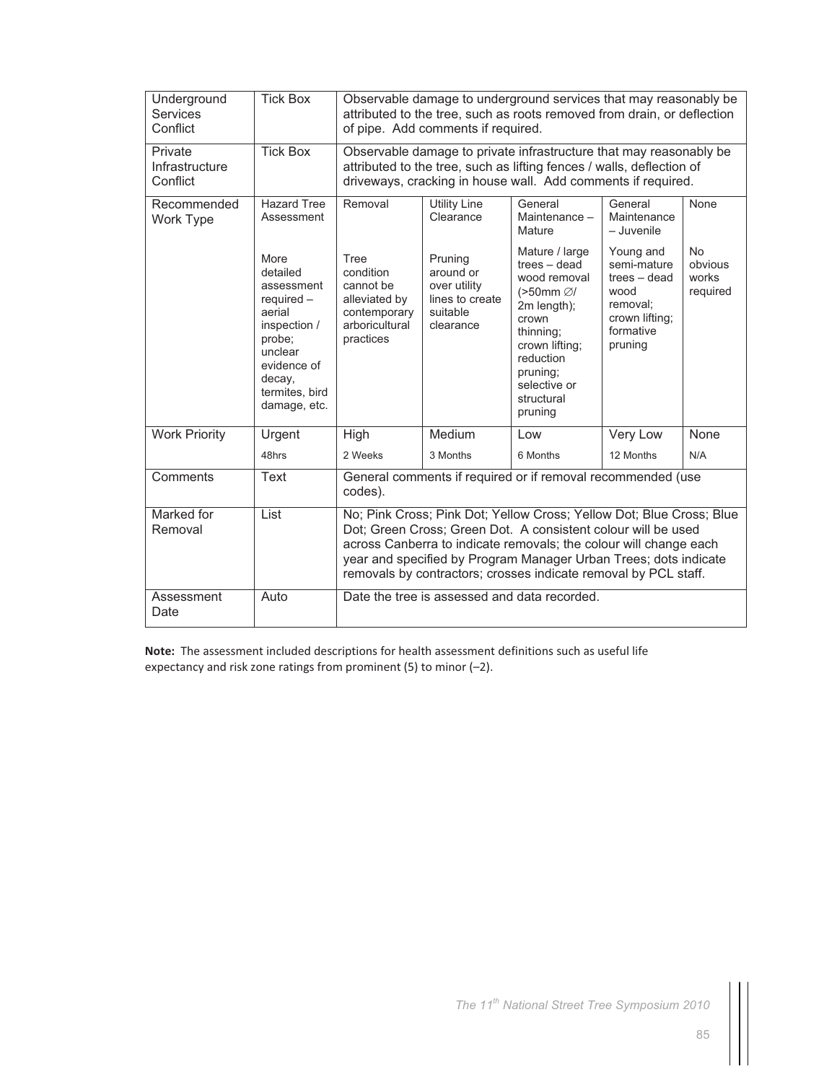| Underground<br><b>Services</b><br>Conflict | <b>Tick Box</b>                                                                                                                                          |                                                                                                | of pipe. Add comments if required.                                               | Observable damage to underground services that may reasonably be<br>attributed to the tree, such as roots removed from drain, or deflection                                                                                                                                                                                                       |                                                                                                        |                                           |
|--------------------------------------------|----------------------------------------------------------------------------------------------------------------------------------------------------------|------------------------------------------------------------------------------------------------|----------------------------------------------------------------------------------|---------------------------------------------------------------------------------------------------------------------------------------------------------------------------------------------------------------------------------------------------------------------------------------------------------------------------------------------------|--------------------------------------------------------------------------------------------------------|-------------------------------------------|
| Private<br>Infrastructure<br>Conflict      | <b>Tick Box</b>                                                                                                                                          |                                                                                                |                                                                                  | Observable damage to private infrastructure that may reasonably be<br>attributed to the tree, such as lifting fences / walls, deflection of<br>driveways, cracking in house wall. Add comments if required.                                                                                                                                       |                                                                                                        |                                           |
| Recommended<br>Work Type                   | <b>Hazard Tree</b><br>Assessment                                                                                                                         | Removal                                                                                        | <b>Utility Line</b><br>Clearance                                                 | General<br>Maintenance -<br>Mature                                                                                                                                                                                                                                                                                                                | General<br>Maintenance<br>- Juvenile                                                                   | None                                      |
|                                            | More<br>detailed<br>assessment<br>$required -$<br>aerial<br>inspection /<br>probe;<br>unclear<br>evidence of<br>decay,<br>termites, bird<br>damage, etc. | Tree<br>condition<br>cannot be<br>alleviated by<br>contemporary<br>arboricultural<br>practices | Pruning<br>around or<br>over utility<br>lines to create<br>suitable<br>clearance | Mature / large<br>$trees - dead$<br>wood removal<br>(>50mm Ø/<br>2m length);<br>crown<br>thinning;<br>crown lifting;<br>reduction<br>pruning:<br>selective or<br>structural<br>pruning                                                                                                                                                            | Young and<br>semi-mature<br>trees - dead<br>wood<br>removal;<br>crown lifting;<br>formative<br>pruning | <b>No</b><br>obvious<br>works<br>required |
| <b>Work Priority</b>                       | Urgent                                                                                                                                                   | High                                                                                           | Medium                                                                           | Low                                                                                                                                                                                                                                                                                                                                               | Very Low                                                                                               | None                                      |
|                                            | 48hrs                                                                                                                                                    | 2 Weeks                                                                                        | 3 Months                                                                         | 6 Months                                                                                                                                                                                                                                                                                                                                          | 12 Months                                                                                              | N/A                                       |
| Comments                                   | <b>Text</b>                                                                                                                                              | codes).                                                                                        |                                                                                  | General comments if required or if removal recommended (use                                                                                                                                                                                                                                                                                       |                                                                                                        |                                           |
| Marked for<br>Removal                      | List                                                                                                                                                     |                                                                                                |                                                                                  | No; Pink Cross; Pink Dot; Yellow Cross; Yellow Dot; Blue Cross; Blue<br>Dot; Green Cross; Green Dot. A consistent colour will be used<br>across Canberra to indicate removals; the colour will change each<br>year and specified by Program Manager Urban Trees; dots indicate<br>removals by contractors; crosses indicate removal by PCL staff. |                                                                                                        |                                           |
| Assessment<br>Date                         | Auto                                                                                                                                                     |                                                                                                |                                                                                  | Date the tree is assessed and data recorded.                                                                                                                                                                                                                                                                                                      |                                                                                                        |                                           |

**Note:** The assessment included descriptions for health assessment definitions such as useful life expectancy and risk zone ratings from prominent (5) to minor (–2).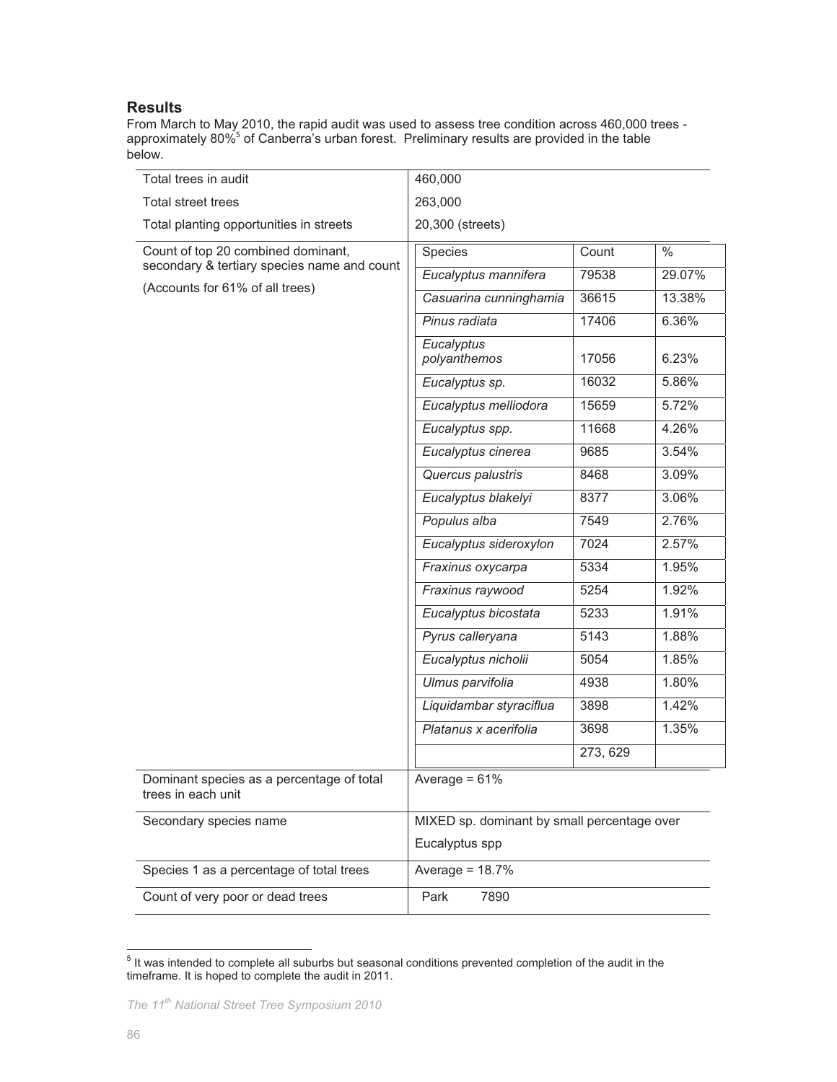## **Results**

From March to May 2010, the rapid audit was used to assess tree condition across 460,000 trees approximately 80%<sup>5</sup> of Canberra's urban forest. Preliminary results are provided in the table below.

| Total trees in audit                                                              | 460,000                                     |          |        |
|-----------------------------------------------------------------------------------|---------------------------------------------|----------|--------|
| Total street trees                                                                | 263,000                                     |          |        |
| Total planting opportunities in streets                                           | 20,300 (streets)                            |          |        |
| Count of top 20 combined dominant,<br>secondary & tertiary species name and count | Species                                     | Count    | $\%$   |
| (Accounts for 61% of all trees)                                                   | Eucalyptus mannifera                        | 79538    | 29.07% |
|                                                                                   | Casuarina cunninghamia                      | 36615    | 13.38% |
|                                                                                   | Pinus radiata                               | 17406    | 6.36%  |
|                                                                                   | Eucalyptus<br>polyanthemos                  | 17056    | 6.23%  |
|                                                                                   | Eucalyptus sp.                              | 16032    | 5.86%  |
|                                                                                   | Eucalyptus melliodora                       | 15659    | 5.72%  |
|                                                                                   | Eucalyptus spp.                             | 11668    | 4.26%  |
|                                                                                   | Eucalyptus cinerea                          | 9685     | 3.54%  |
|                                                                                   | Quercus palustris                           | 8468     | 3.09%  |
|                                                                                   | Eucalyptus blakelyi                         | 8377     | 3.06%  |
|                                                                                   | Populus alba                                | 7549     | 2.76%  |
|                                                                                   | Eucalyptus sideroxylon                      | 7024     | 2.57%  |
|                                                                                   | Fraxinus oxycarpa                           | 5334     | 1.95%  |
|                                                                                   | Fraxinus raywood                            | 5254     | 1.92%  |
|                                                                                   | Eucalyptus bicostata                        | 5233     | 1.91%  |
|                                                                                   | Pyrus calleryana                            | 5143     | 1.88%  |
|                                                                                   | Eucalyptus nicholii                         | 5054     | 1.85%  |
|                                                                                   | Ulmus parvifolia                            | 4938     | 1.80%  |
|                                                                                   | Liquidambar styraciflua                     | 3898     | 1.42%  |
|                                                                                   | Platanus x acerifolia                       | 3698     | 1.35%  |
|                                                                                   |                                             | 273, 629 |        |
| Dominant species as a percentage of total<br>trees in each unit                   | Average = $61%$                             |          |        |
| Secondary species name                                                            | MIXED sp. dominant by small percentage over |          |        |
|                                                                                   | Eucalyptus spp                              |          |        |
| Species 1 as a percentage of total trees                                          | Average = $18.7%$                           |          |        |
| Count of very poor or dead trees                                                  | Park<br>7890                                |          |        |

<sup>&</sup>lt;sup>5</sup> It was intended to complete all suburbs but seasonal conditions prevented completion of the audit in the timeframe. It is hoped to complete the audit in 2011.

 $\overline{a}$ 

*The 11th National Street Tree Symposium 2010*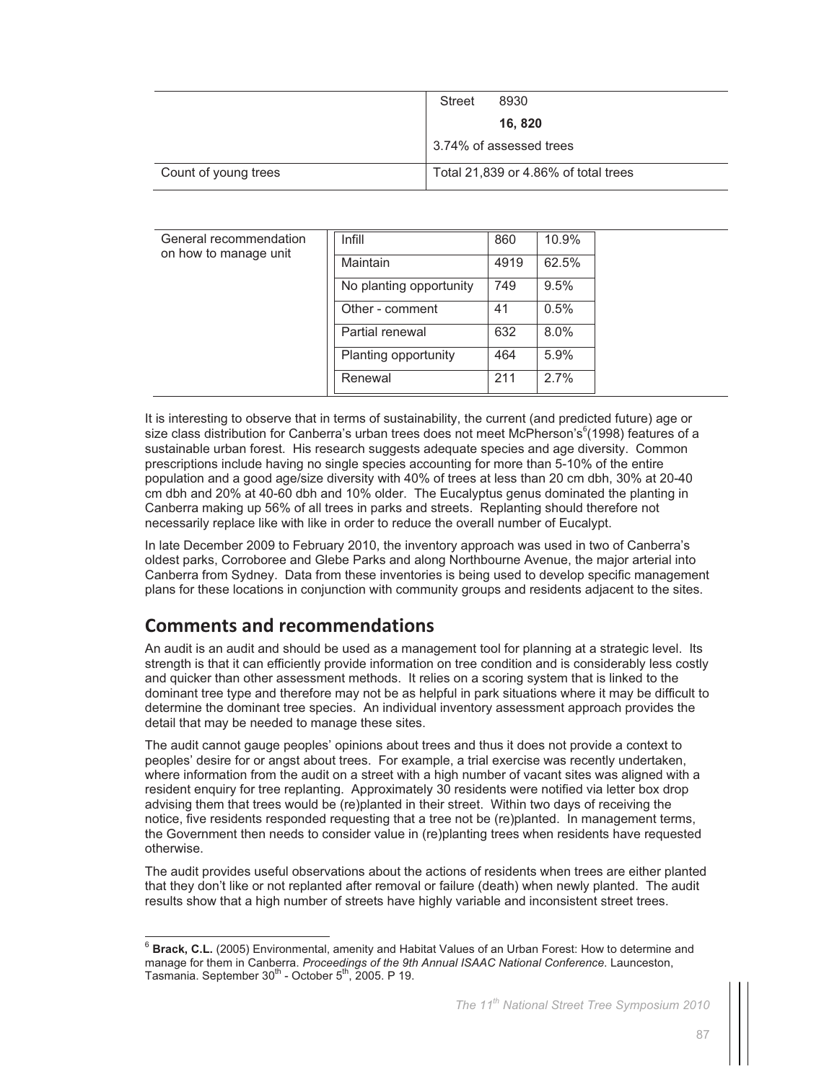|                      | Street | 8930                                 |
|----------------------|--------|--------------------------------------|
|                      |        | 16, 820                              |
|                      |        | 3.74% of assessed trees              |
| Count of young trees |        | Total 21,839 or 4.86% of total trees |

| General recommendation<br>on how to manage unit | Infill                  | 860  | 10.9%   |
|-------------------------------------------------|-------------------------|------|---------|
|                                                 | Maintain                | 4919 | 62.5%   |
|                                                 | No planting opportunity | 749  | 9.5%    |
|                                                 | Other - comment         | 41   | 0.5%    |
|                                                 | Partial renewal         | 632  | $8.0\%$ |
|                                                 | Planting opportunity    | 464  | 5.9%    |
|                                                 | Renewal                 | 211  | 2.7%    |

It is interesting to observe that in terms of sustainability, the current (and predicted future) age or size class distribution for Canberra's urban trees does not meet McPherson's<sup>6</sup>(1998) features of a sustainable urban forest. His research suggests adequate species and age diversity. Common prescriptions include having no single species accounting for more than 5-10% of the entire population and a good age/size diversity with 40% of trees at less than 20 cm dbh, 30% at 20-40 cm dbh and 20% at 40-60 dbh and 10% older. The Eucalyptus genus dominated the planting in Canberra making up 56% of all trees in parks and streets. Replanting should therefore not necessarily replace like with like in order to reduce the overall number of Eucalypt.

In late December 2009 to February 2010, the inventory approach was used in two of Canberra's oldest parks, Corroboree and Glebe Parks and along Northbourne Avenue, the major arterial into Canberra from Sydney. Data from these inventories is being used to develop specific management plans for these locations in conjunction with community groups and residents adjacent to the sites.

## **Comments and recommendations**

 $\overline{a}$ 

An audit is an audit and should be used as a management tool for planning at a strategic level. Its strength is that it can efficiently provide information on tree condition and is considerably less costly and quicker than other assessment methods. It relies on a scoring system that is linked to the dominant tree type and therefore may not be as helpful in park situations where it may be difficult to determine the dominant tree species. An individual inventory assessment approach provides the detail that may be needed to manage these sites.

The audit cannot gauge peoples' opinions about trees and thus it does not provide a context to peoples' desire for or angst about trees. For example, a trial exercise was recently undertaken, where information from the audit on a street with a high number of vacant sites was aligned with a resident enquiry for tree replanting. Approximately 30 residents were notified via letter box drop advising them that trees would be (re)planted in their street. Within two days of receiving the notice, five residents responded requesting that a tree not be (re)planted. In management terms, the Government then needs to consider value in (re)planting trees when residents have requested otherwise.

The audit provides useful observations about the actions of residents when trees are either planted that they don't like or not replanted after removal or failure (death) when newly planted. The audit results show that a high number of streets have highly variable and inconsistent street trees.

<sup>6</sup> **Brack, C.L.** (2005) Environmental, amenity and Habitat Values of an Urban Forest: How to determine and manage for them in Canberra. *Proceedings of the 9th Annual ISAAC National Conference*. Launceston, Tasmania. September  $30<sup>th</sup>$  - October  $5<sup>th</sup>$ , 2005. P 19.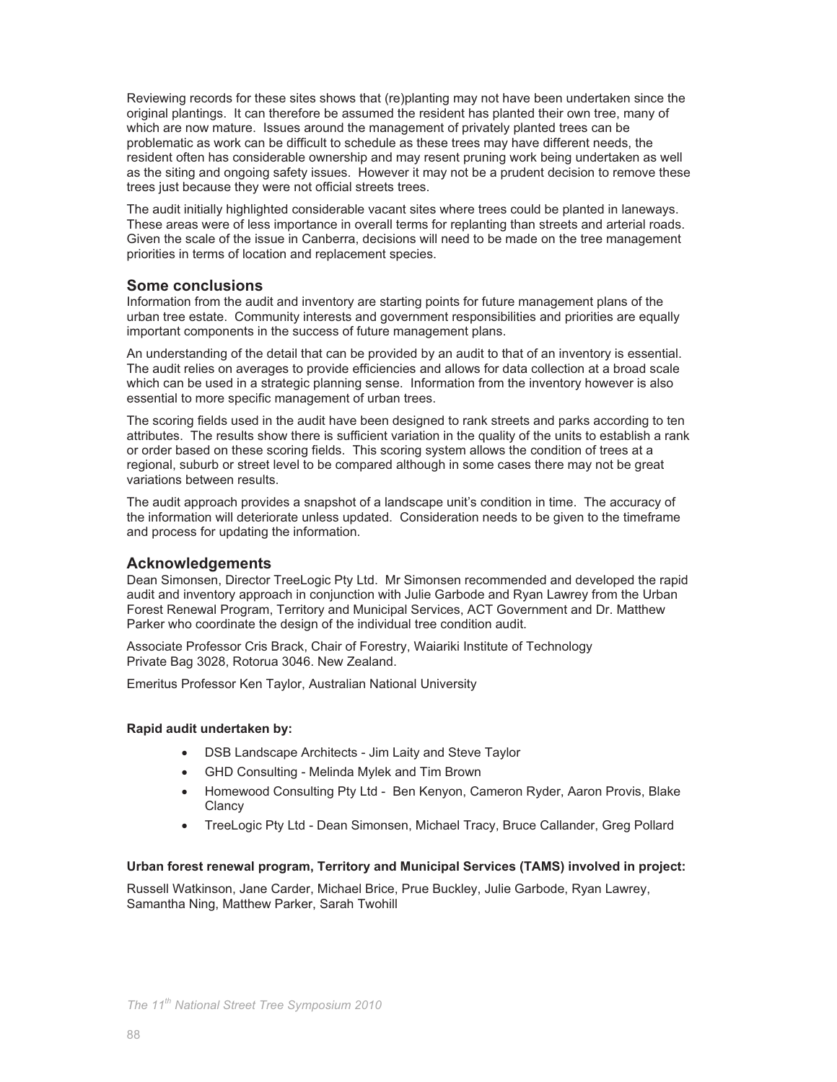Reviewing records for these sites shows that (re)planting may not have been undertaken since the original plantings. It can therefore be assumed the resident has planted their own tree, many of which are now mature. Issues around the management of privately planted trees can be problematic as work can be difficult to schedule as these trees may have different needs, the resident often has considerable ownership and may resent pruning work being undertaken as well as the siting and ongoing safety issues. However it may not be a prudent decision to remove these trees just because they were not official streets trees.

The audit initially highlighted considerable vacant sites where trees could be planted in laneways. These areas were of less importance in overall terms for replanting than streets and arterial roads. Given the scale of the issue in Canberra, decisions will need to be made on the tree management priorities in terms of location and replacement species.

## **Some conclusions**

Information from the audit and inventory are starting points for future management plans of the urban tree estate. Community interests and government responsibilities and priorities are equally important components in the success of future management plans.

An understanding of the detail that can be provided by an audit to that of an inventory is essential. The audit relies on averages to provide efficiencies and allows for data collection at a broad scale which can be used in a strategic planning sense. Information from the inventory however is also essential to more specific management of urban trees.

The scoring fields used in the audit have been designed to rank streets and parks according to ten attributes. The results show there is sufficient variation in the quality of the units to establish a rank or order based on these scoring fields. This scoring system allows the condition of trees at a regional, suburb or street level to be compared although in some cases there may not be great variations between results.

The audit approach provides a snapshot of a landscape unit's condition in time. The accuracy of the information will deteriorate unless updated. Consideration needs to be given to the timeframe and process for updating the information.

#### **Acknowledgements**

Dean Simonsen, Director TreeLogic Pty Ltd. Mr Simonsen recommended and developed the rapid audit and inventory approach in conjunction with Julie Garbode and Ryan Lawrey from the Urban Forest Renewal Program, Territory and Municipal Services, ACT Government and Dr. Matthew Parker who coordinate the design of the individual tree condition audit.

Associate Professor Cris Brack, Chair of Forestry, Waiariki Institute of Technology Private Bag 3028, Rotorua 3046. New Zealand.

Emeritus Professor Ken Taylor, Australian National University

#### **Rapid audit undertaken by:**

- DSB Landscape Architects Jim Laity and Steve Taylor
- GHD Consulting Melinda Mylek and Tim Brown
- Homewood Consulting Pty Ltd Ben Kenyon, Cameron Ryder, Aaron Provis, Blake **Clancy**
- TreeLogic Pty Ltd Dean Simonsen, Michael Tracy, Bruce Callander, Greg Pollard

#### **Urban forest renewal program, Territory and Municipal Services (TAMS) involved in project:**

Russell Watkinson, Jane Carder, Michael Brice, Prue Buckley, Julie Garbode, Ryan Lawrey, Samantha Ning, Matthew Parker, Sarah Twohill